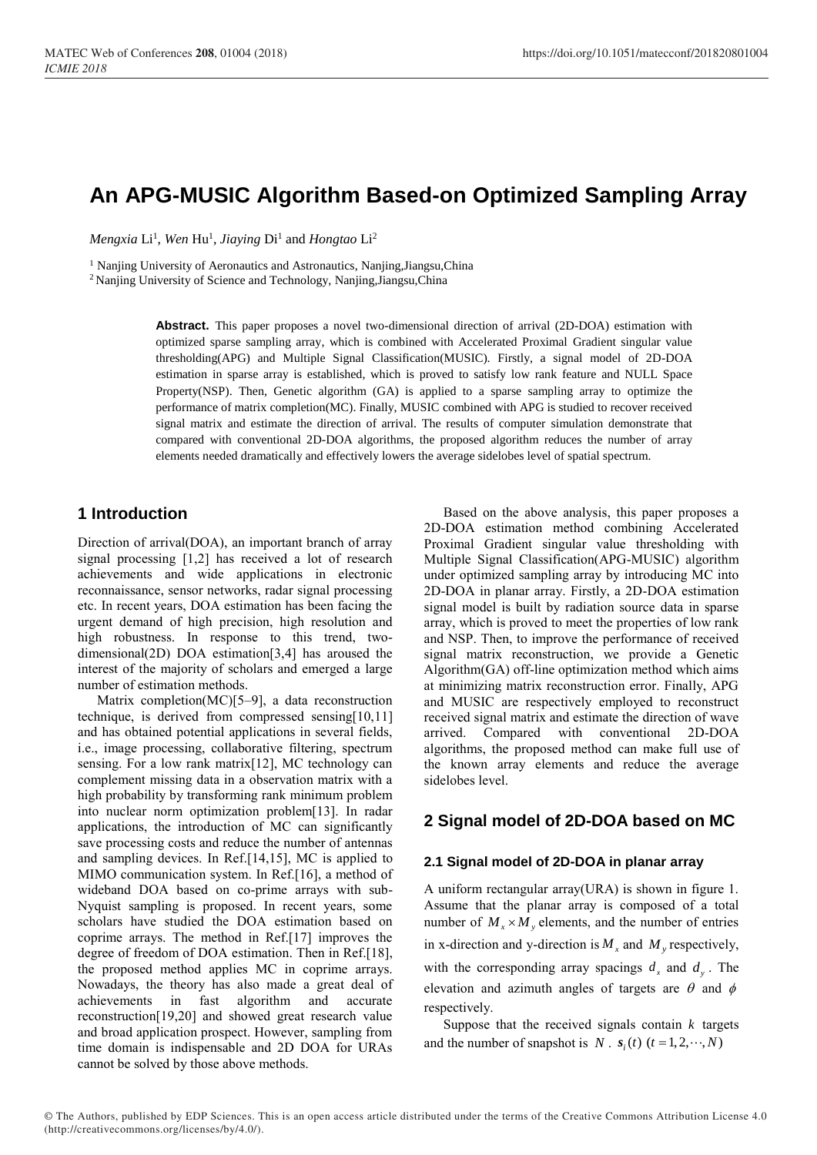# **An APG-MUSIC Algorithm Based-on Optimized Sampling Array**

 $Mengxia Li<sup>1</sup>, Wen Hu<sup>1</sup>, Jiaying Di<sup>1</sup> and Hongtao Li<sup>2</sup>$ 

<sup>1</sup> Nanjing University of Aeronautics and Astronautics, Nanjing, Jiangsu, China

<sup>2</sup> Nanjing University of Science and Technology, Nanjing,Jiangsu,China

**Abstract.** This paper proposes a novel two-dimensional direction of arrival (2D-DOA) estimation with optimized sparse sampling array, which is combined with Accelerated Proximal Gradient singular value thresholding(APG) and Multiple Signal Classification(MUSIC). Firstly, a signal model of 2D-DOA estimation in sparse array is established, which is proved to satisfy low rank feature and NULL Space Property(NSP). Then, Genetic algorithm (GA) is applied to a sparse sampling array to optimize the performance of matrix completion(MC). Finally, MUSIC combined with APG is studied to recover received signal matrix and estimate the direction of arrival. The results of computer simulation demonstrate that compared with conventional 2D-DOA algorithms, the proposed algorithm reduces the number of array elements needed dramatically and effectively lowers the average sidelobes level of spatial spectrum.

## **1 Introduction**

Direction of arrival(DOA), an important branch of array signal processing [1,2] has received a lot of research achievements and wide applications in electronic reconnaissance, sensor networks, radar signal processing etc. In recent years, DOA estimation has been facing the urgent demand of high precision, high resolution and high robustness. In response to this trend, twodimensional(2D) DOA estimation[3,4] has aroused the interest of the majority of scholars and emerged a large number of estimation methods.

Matrix completion(MC)[5–9], a data reconstruction technique, is derived from compressed sensing[10,11] and has obtained potential applications in several fields, i.e., image processing, collaborative filtering, spectrum sensing. For a low rank matrix[12], MC technology can complement missing data in a observation matrix with a high probability by transforming rank minimum problem into nuclear norm optimization problem[13]. In radar applications, the introduction of MC can significantly save processing costs and reduce the number of antennas and sampling devices. In Ref.[14,15], MC is applied to MIMO communication system. In Ref.[16], a method of wideband DOA based on co-prime arrays with sub-Nyquist sampling is proposed. In recent years, some scholars have studied the DOA estimation based on coprime arrays. The method in Ref.[17] improves the degree of freedom of DOA estimation. Then in Ref.[18], the proposed method applies MC in coprime arrays. Nowadays, the theory has also made a great deal of achievements in fast algorithm and accurate reconstruction[19,20] and showed great research value and broad application prospect. However, sampling from time domain is indispensable and 2D DOA for URAs cannot be solved by those above methods.

Based on the above analysis, this paper proposes a 2D-DOA estimation method combining Accelerated Proximal Gradient singular value thresholding with Multiple Signal Classification(APG-MUSIC) algorithm under optimized sampling array by introducing MC into 2D-DOA in planar array. Firstly, a 2D-DOA estimation signal model is built by radiation source data in sparse array, which is proved to meet the properties of low rank and NSP. Then, to improve the performance of received signal matrix reconstruction, we provide a Genetic Algorithm(GA) off-line optimization method which aims at minimizing matrix reconstruction error. Finally, APG and MUSIC are respectively employed to reconstruct received signal matrix and estimate the direction of wave arrived. Compared with conventional 2D-DOA algorithms, the proposed method can make full use of the known array elements and reduce the average sidelobes level.

### **2 Signal model of 2D-DOA based on MC**

#### **2.1 Signal model of 2D-DOA in planar array**

A uniform rectangular array(URA) is shown in figure 1. Assume that the planar array is composed of a total number of  $M_{\rm x} \times M_{\rm y}$  elements, and the number of entries in x-direction and y-direction is  $M_x$  and  $M_y$  respectively, with the corresponding array spacings  $d_x$  and  $d_y$ . The elevation and azimuth angles of targets are  $\theta$  and  $\phi$ respectively.

Suppose that the received signals contain *<sup>k</sup>* targets and the number of snapshot is *N*.  $s_i(t)$  ( $t = 1, 2, \dots, N$ )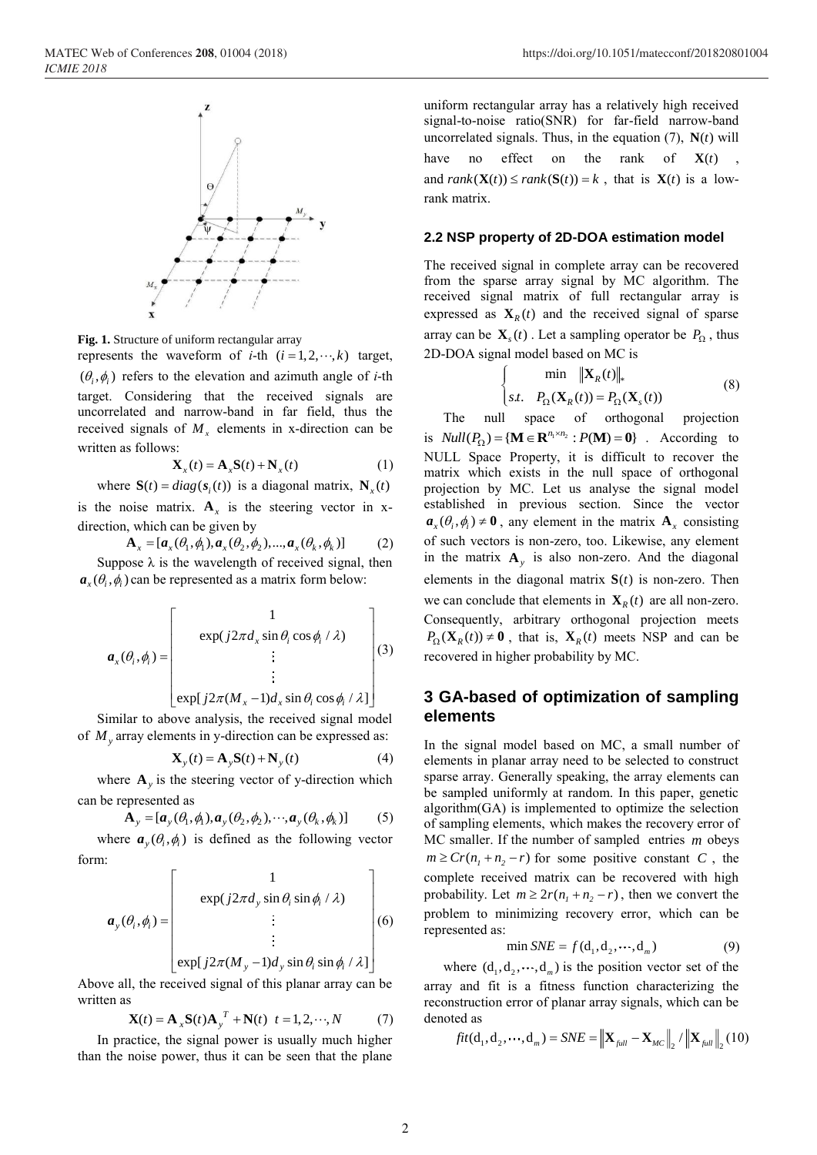

**Fig. 1.** Structure of uniform rectangular array

represents the waveform of *i*-th  $(i = 1, 2, \dots, k)$  target,  $(\theta_i, \phi_i)$  refers to the elevation and azimuth angle of *i*-th target. Considering that the received signals are uncorrelated and narrow-band in far field, thus the received signals of  $M<sub>x</sub>$  elements in x-direction can be written as follows:

$$
\mathbf{X}_{x}(t) = \mathbf{A}_{x}\mathbf{S}(t) + \mathbf{N}_{x}(t)
$$
 (1)

where 
$$
S(t) = diag(s_i(t))
$$
 is a diagonal matrix,  $N_x(t)$ 

is the noise matrix.  $A_x$  is the steering vector in xdirection, which can be given by

$$
\mathbf{A}_x = [\mathbf{a}_x(\theta_1, \phi_1), \mathbf{a}_x(\theta_2, \phi_2), ..., \mathbf{a}_x(\theta_k, \phi_k)]
$$
 (2)  
Suppose  $\lambda$  is the wavelength of received signal, then

 $\mathbf{a}_{x}(\theta_i, \phi_i)$  can be represented as a matrix form below:

$$
\boldsymbol{a}_{x}(\theta_{i}, \phi_{i}) = \begin{bmatrix} 1 \\ \exp(j2\pi d_{x} \sin \theta_{i} \cos \phi_{i} / \lambda) \\ \vdots \\ \exp(j2\pi (M - 1)d_{x} \sin \theta_{i} \cos \phi_{i} / \lambda) \\ \vdots \end{bmatrix} (3)
$$

 $\left[ \exp[j2\pi (M_x - 1)d_x \sin \theta_i \cos \phi_i / \lambda] \right]$ 

Similar to above analysis, the received signal model of *M<sup>y</sup>* array elements in y-direction can be expressed as:

$$
\mathbf{X}_{y}(t) = \mathbf{A}_{y}\mathbf{S}(t) + \mathbf{N}_{y}(t)
$$
\n(4)

where  $\mathbf{A}_y$  is the steering vector of y-direction which can be represented as

$$
\mathbf{A}_{y} = [\boldsymbol{a}_{y}(\theta_{1}, \phi_{1}), \boldsymbol{a}_{y}(\theta_{2}, \phi_{2}), \cdots, \boldsymbol{a}_{y}(\theta_{k}, \phi_{k})] \qquad (5)
$$

where  $\boldsymbol{a}_{y}(\theta_i, \phi_i)$  is defined as the following vector form:

$$
\boldsymbol{a}_{y}(\theta_{i}, \phi_{i}) = \begin{bmatrix} 1 \\ \exp(j2\pi d_{y} \sin \theta_{i} \sin \phi_{i} / \lambda) \\ \vdots \\ \exp(j2\pi (M_{y} - 1) d_{y} \sin \theta_{i} \sin \phi_{i} / \lambda] \end{bmatrix} (6)
$$

Above all, the received signal of this planar array can be written as

$$
\mathbf{X}(t) = \mathbf{A}_{x} \mathbf{S}(t) \mathbf{A}_{y}^{T} + \mathbf{N}(t) \quad t = 1, 2, \cdots, N \tag{7}
$$

In practice, the signal power is usually much higher than the noise power, thus it can be seen that the plane

uniform rectangular array has a relatively high received signal-to-noise ratio(SNR) for far-field narrow-band uncorrelated signals. Thus, in the equation  $(7)$ ,  $N(t)$  will have no effect on the rank of  $\mathbf{X}(t)$ , and  $rank(\mathbf{X}(t)) \leq rank(\mathbf{S}(t)) = k$ , that is  $\mathbf{X}(t)$  is a lowrank matrix.

#### **2.2 NSP property of 2D-DOA estimation model**

The received signal in complete array can be recovered from the sparse array signal by MC algorithm. The received signal matrix of full rectangular array is expressed as  $\mathbf{X}_R(t)$  and the received signal of sparse array can be  $\mathbf{X}_s(t)$ . Let a sampling operator be  $P_{\Omega}$ , thus 2D-DOA signal model based on MC is

$$
\begin{cases}\n\min \|\mathbf{X}_R(t)\|_*\\ \nst. \quad P_{\Omega}(\mathbf{X}_R(t)) = P_{\Omega}(\mathbf{X}_s(t))\n\end{cases} \tag{8}
$$

The null space of orthogonal projection is  $Null(P_{\Omega}) = {\bf{M}} \in \mathbb{R}^{n_1 \times n_2} : P(\mathbf{M}) = 0$ . According to NULL Space Property, it is difficult to recover the matrix which exists in the null space of orthogonal projection by MC. Let us analyse the signal model established in previous section. Since the vector  $a_x(\theta_i, \phi_i) \neq 0$ , any element in the matrix  $A_x$  consisting of such vectors is non-zero, too. Likewise, any element in the matrix  $\mathbf{A}_y$  is also non-zero. And the diagonal elements in the diagonal matrix  $S(t)$  is non-zero. Then we can conclude that elements in  $\mathbf{X}_R(t)$  are all non-zero. Consequently, arbitrary orthogonal projection meets  $P_{\Omega}(\mathbf{X}_R(t)) \neq \mathbf{0}$ , that is,  $\mathbf{X}_R(t)$  meets NSP and can be recovered in higher probability by MC.

## **3 GA-based of optimization of sampling elements**

In the signal model based on MC, a small number of elements in planar array need to be selected to construct sparse array. Generally speaking, the array elements can be sampled uniformly at random. In this paper, genetic algorithm(GA) is implemented to optimize the selection of sampling elements, which makes the recovery error of MC smaller. If the number of sampled entries *<sup>m</sup>* obeys  $m \geq Cr(n_1 + n_2 - r)$  for some positive constant *C*, the complete received matrix can be recovered with high probability. Let  $m \ge 2r(n_1 + n_2 - r)$ , then we convert the problem to minimizing recovery error, which can be represented as:

$$
\min SNE = f(\mathbf{d}_1, \mathbf{d}_2, \cdots, \mathbf{d}_m) \tag{9}
$$

where  $(d_1, d_2, \dots, d_m)$  is the position vector set of the array and fit is a fitness function characterizing the reconstruction error of planar array signals, which can be denoted as

$$
fit(\mathbf{d}_1, \mathbf{d}_2, \cdots, \mathbf{d}_m) = SNE = \left\| \mathbf{X}_{full} - \mathbf{X}_{MC} \right\|_2 / \left\| \mathbf{X}_{full} \right\|_2 (10)
$$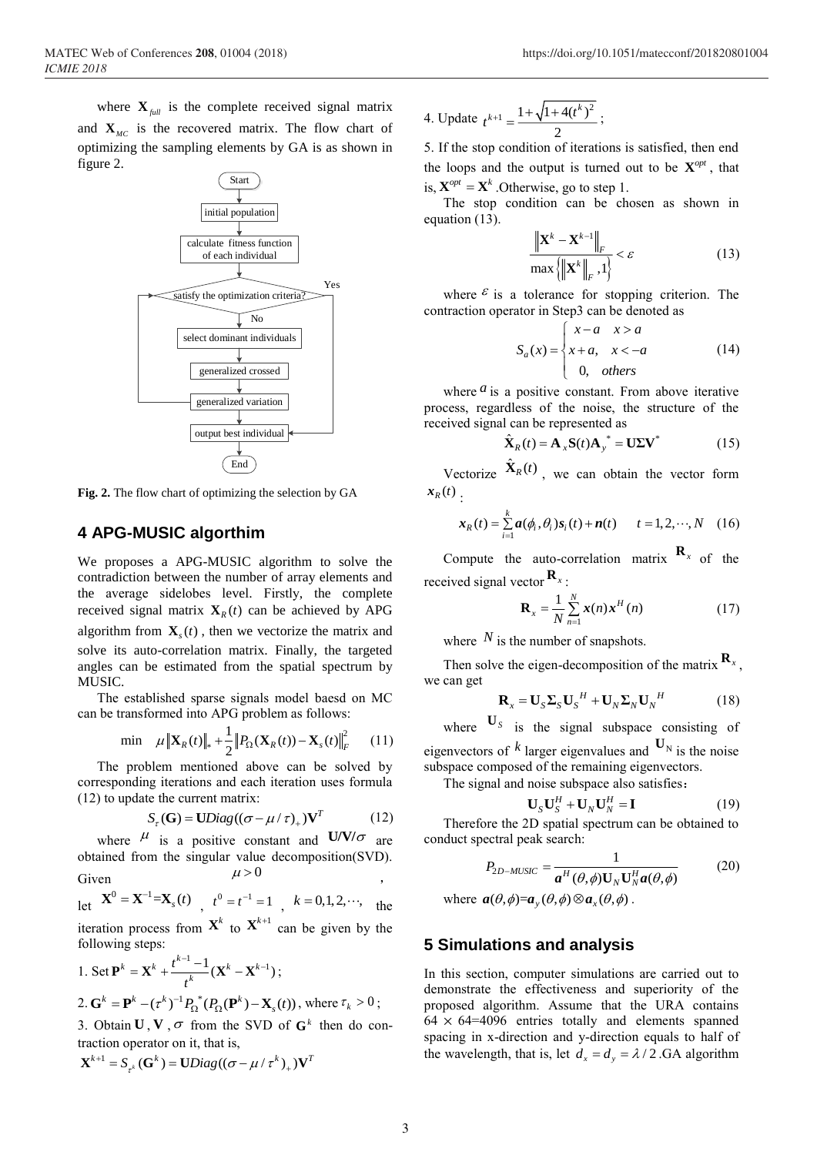where  $\mathbf{X}_{full}$  is the complete received signal matrix and  $X_{MC}$  is the recovered matrix. The flow chart of optimizing the sampling elements by GA is as shown in figure 2.



**Fig. 2.** The flow chart of optimizing the selection by GA

#### **4 APG-MUSIC algorthim**

We proposes a APG-MUSIC algorithm to solve the contradiction between the number of array elements and the average sidelobes level. Firstly, the complete received signal matrix  $\mathbf{X}_R(t)$  can be achieved by APG algorithm from  $\mathbf{X}_s(t)$ , then we vectorize the matrix and solve its auto-correlation matrix. Finally, the targeted angles can be estimated from the spatial spectrum by MUSIC.

The established sparse signals model baesd on MC can be transformed into APG problem as follows:

$$
\min \quad \mu \|\mathbf{X}_{R}(t)\|_{*} + \frac{1}{2} \|P_{\Omega}(\mathbf{X}_{R}(t)) - \mathbf{X}_{s}(t)\|_{F}^{2} \qquad (11)
$$

The problem mentioned above can be solved by corresponding iterations and each iteration uses formula (12) to update the current matrix:

$$
S_{\tau}(\mathbf{G}) = \mathbf{U}Diag((\sigma - \mu / \tau)_{+})\mathbf{V}^{T}
$$
 (12)

where  $\mu$  is a positive constant and  $U/V/\sigma$  are obtained from the singular value decomposition(SVD). Given  $\mu > 0$ ,

let  $X^0 = X^{-1} = X_s(t)$ ,  $t^0 = t^{-1} = 1$ ,  $k = 0, 1, 2, \dots$ , the iteration process from  $X^k$  to  $X^{k+1}$  can be given by the following steps:

$$
1. Set \mathbf{P}^{k} = \mathbf{X}^{k} + \frac{t^{k-1} - 1}{t^{k}} (\mathbf{X}^{k} - \mathbf{X}^{k-1});
$$
  

$$
2. \mathbf{G}^{k} = \mathbf{P}^{k} - (\tau^{k})^{-1} P_{\Omega}^{*} (P_{\Omega}(\mathbf{P}^{k}) - \mathbf{X}_{s}(t)), \text{ where } \tau_{k} > 0;
$$

3. Obtain  $U, V, \sigma$  from the SVD of  $G<sup>k</sup>$  then do contraction operator on it, that is,

$$
\mathbf{X}^{k+1} = S_{\tau^k}(\mathbf{G}^k) = \mathbf{U}Diag((\sigma - \mu / \tau^k)_{+})\mathbf{V}^T
$$

4. Update 
$$
t^{k+1} = \frac{1 + \sqrt{1 + 4(t^k)^2}}{2}
$$
;

5. If the stop condition of iterations is satisfied, then end the loops and the output is turned out to be  $X^{opt}$ , that is,  $\mathbf{X}^{opt} = \mathbf{X}^k$ . Otherwise, go to step 1.

The stop condition can be chosen as shown in equation (13).

$$
\frac{\left\| \mathbf{X}^{k} - \mathbf{X}^{k-1} \right\|_{F}}{\max \left\{ \left\| \mathbf{X}^{k} \right\|_{F}, 1 \right\}} < \varepsilon
$$
\n(13)

where  $\epsilon$  is a tolerance for stopping criterion. The contraction operator in Step3 can be denoted as

$$
S_a(x) = \begin{cases} x-a & x > a \\ x+a, & x < -a \\ 0, & others \end{cases}
$$
 (14)

where  $a$  is a positive constant. From above iterative process, regardless of the noise, the structure of the received signal can be represented as

$$
\hat{\mathbf{X}}_R(t) = \mathbf{A}_{x} \mathbf{S}(t) \mathbf{A}_{y}^{*} = \mathbf{U} \Sigma \mathbf{V}^{*} \tag{15}
$$

Vectorize  $\hat{\mathbf{X}}_R(t)$ , we can obtain the vector form  $\mathbf{x}_R(t)$ .

$$
\boldsymbol{x}_{R}(t) = \sum_{i=1}^{k} \boldsymbol{a}(\phi_{i}, \theta_{i}) \boldsymbol{s}_{i}(t) + \boldsymbol{n}(t) \qquad t = 1, 2, \cdots, N \quad (16)
$$

Compute the auto-correlation matrix  $\mathbf{R}_x$  of the received signal vector **<sup>R</sup>***<sup>x</sup>* :

$$
\mathbf{R}_{x} = \frac{1}{N} \sum_{n=1}^{N} \mathbf{x}(n) \mathbf{x}^{H}(n)
$$
 (17)

where  $N$  is the number of snapshots.

Then solve the eigen-decomposition of the matrix  $\mathbf{R}_x$ , we can get

$$
\mathbf{R}_{x} = \mathbf{U}_{S} \mathbf{\Sigma}_{S} \mathbf{U}_{S}^{H} + \mathbf{U}_{N} \mathbf{\Sigma}_{N} \mathbf{U}_{N}^{H}
$$
 (18)

where  $\mathbf{U}_s$  is the signal subspace consisting of eigenvectors of  $k$  larger eigenvalues and  $\mathbf{U}_N$  is the noise subspace composed of the remaining eigenvectors.

The signal and noise subspace also satisfies:

$$
\mathbf{U}_S \mathbf{U}_S^H + \mathbf{U}_N \mathbf{U}_N^H = \mathbf{I}
$$
 (19)

Therefore the 2D spatial spectrum can be obtained to conduct spectral peak search:

$$
P_{2D-MUSIC} = \frac{1}{a^H(\theta, \phi) \mathbf{U}_N \mathbf{U}_N^H a(\theta, \phi)}
$$
(20)

where  $\mathbf{a}(\theta, \phi) = \mathbf{a}_y(\theta, \phi) \otimes \mathbf{a}_x(\theta, \phi)$ .

#### **5 Simulations and analysis**

In this section, computer simulations are carried out to demonstrate the effectiveness and superiority of the proposed algorithm. Assume that the URA contains  $64 \times 64 = 4096$  entries totally and elements spanned spacing in x-direction and y-direction equals to half of the wavelength, that is, let  $d_x = d_y = \lambda / 2$ .GA algorithm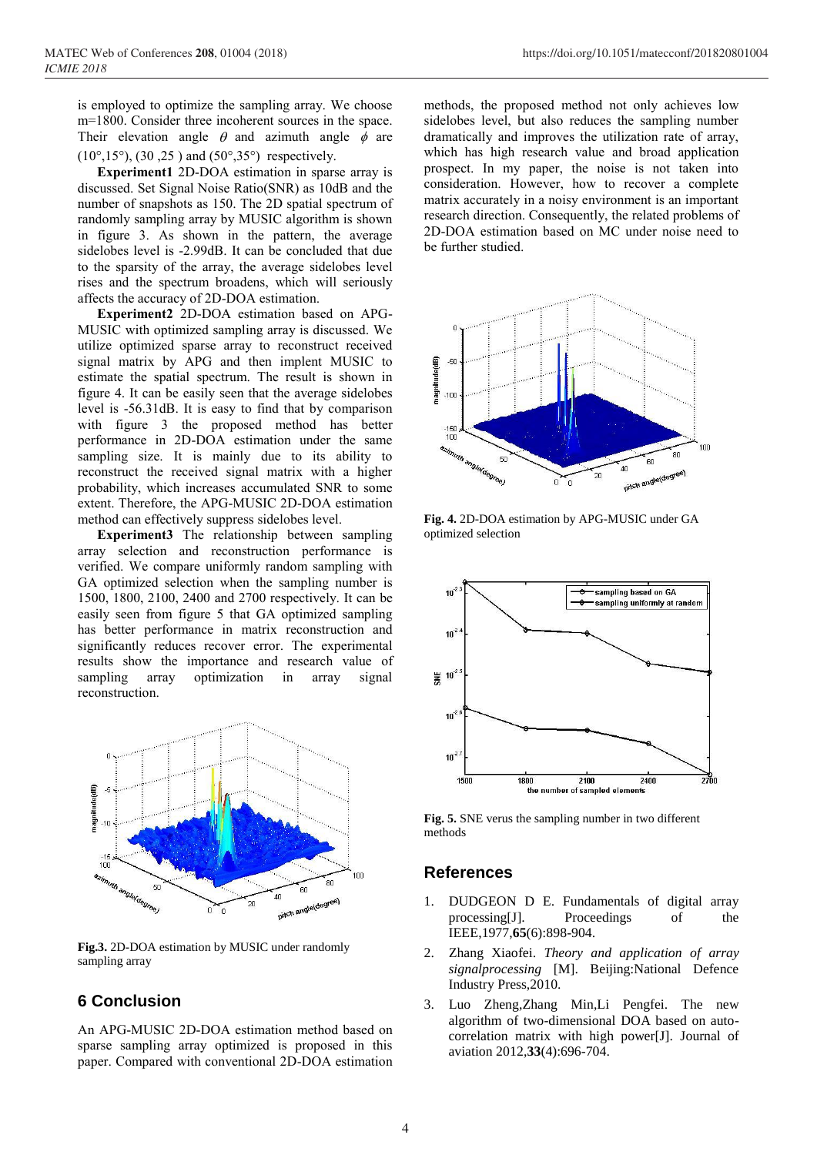$(10^{\circ}, 15^{\circ})$ ,  $(30, 25)$  and  $(50^{\circ}, 35^{\circ})$  respectively.

**Experiment1** 2D-DOA estimation in sparse array is discussed. Set Signal Noise Ratio(SNR) as 10dB and the number of snapshots as 150. The 2D spatial spectrum of randomly sampling array by MUSIC algorithm is shown in figure 3. As shown in the pattern, the average sidelobes level is -2.99dB. It can be concluded that due to the sparsity of the array, the average sidelobes level rises and the spectrum broadens, which will seriously affects the accuracy of 2D-DOA estimation.

**Experiment2** 2D-DOA estimation based on APG-MUSIC with optimized sampling array is discussed. We utilize optimized sparse array to reconstruct received signal matrix by APG and then implent MUSIC to estimate the spatial spectrum. The result is shown in figure 4. It can be easily seen that the average sidelobes level is -56.31dB. It is easy to find that by comparison with figure 3 the proposed method has better performance in 2D-DOA estimation under the same sampling size. It is mainly due to its ability to reconstruct the received signal matrix with a higher probability, which increases accumulated SNR to some extent. Therefore, the APG-MUSIC 2D-DOA estimation method can effectively suppress sidelobes level.

**Experiment3** The relationship between sampling array selection and reconstruction performance is verified. We compare uniformly random sampling with GA optimized selection when the sampling number is 1500, 1800, 2100, 2400 and 2700 respectively. It can be easily seen from figure 5 that GA optimized sampling has better performance in matrix reconstruction and significantly reduces recover error. The experimental results show the importance and research value of sampling array optimization in array signal reconstruction.



**Fig.3.** 2D-DOA estimation by MUSIC under randomly sampling array

# **6 Conclusion**

An APG-MUSIC 2D-DOA estimation method based on sparse sampling array optimized is proposed in this paper. Compared with conventional 2D-DOA estimation methods, the proposed method not only achieves low sidelobes level, but also reduces the sampling number dramatically and improves the utilization rate of array, which has high research value and broad application prospect. In my paper, the noise is not taken into consideration. However, how to recover a complete matrix accurately in a noisy environment is an important research direction. Consequently, the related problems of 2D-DOA estimation based on MC under noise need to be further studied.



**Fig. 4.** 2D-DOA estimation by APG-MUSIC under GA optimized selection



**Fig. 5.** SNE verus the sampling number in two different methods

### **References**

- 1. DUDGEON D E. Fundamentals of digital array processing[J]. Proceedings of the IEEE,1977,**65**(6):898-904.
- 2. Zhang Xiaofei. *Theory and application of array signalprocessing* [M]. Beijing:National Defence Industry Press,2010.
- Luo Zheng,Zhang Min,Li Pengfei. The new algorithm of two-dimensional DOA based on autocorrelation matrix with high power[J]. Journal of aviation 2012,**33**(4):696-704.